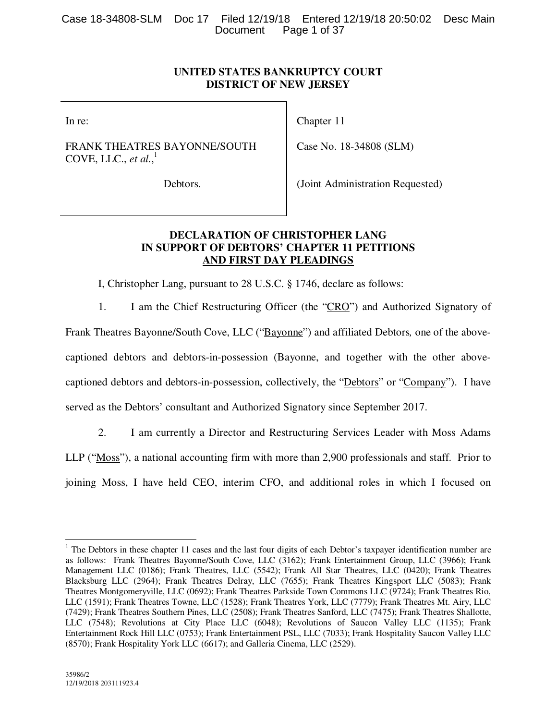|  |                       | Case 18-34808-SLM Doc 17 Filed 12/19/18 Entered 12/19/18 20:50:02 Desc Main |  |
|--|-----------------------|-----------------------------------------------------------------------------|--|
|  | Document Page 1 of 37 |                                                                             |  |

# **UNITED STATES BANKRUPTCY COURT DISTRICT OF NEW JERSEY**

Chapter 11

In re:

FRANK THEATRES BAYONNE/SOUTH COVE, LLC., *et al.*, 1

Debtors.

(Joint Administration Requested)

Case No. 18-34808 (SLM)

# **DECLARATION OF CHRISTOPHER LANG IN SUPPORT OF DEBTORS' CHAPTER 11 PETITIONS AND FIRST DAY PLEADINGS**

I, Christopher Lang, pursuant to 28 U.S.C. § 1746, declare as follows:

1. I am the Chief Restructuring Officer (the "CRO") and Authorized Signatory of Frank Theatres Bayonne/South Cove, LLC ("Bayonne") and affiliated Debtors*,* one of the abovecaptioned debtors and debtors-in-possession (Bayonne, and together with the other abovecaptioned debtors and debtors-in-possession, collectively, the "Debtors" or "Company"). I have served as the Debtors' consultant and Authorized Signatory since September 2017.

2. I am currently a Director and Restructuring Services Leader with Moss Adams

LLP ("Moss"), a national accounting firm with more than 2,900 professionals and staff. Prior to

joining Moss, I have held CEO, interim CFO, and additional roles in which I focused on

 $\overline{a}$ 

<sup>&</sup>lt;sup>1</sup> The Debtors in these chapter 11 cases and the last four digits of each Debtor's taxpayer identification number are as follows: Frank Theatres Bayonne/South Cove, LLC (3162); Frank Entertainment Group, LLC (3966); Frank Management LLC (0186); Frank Theatres, LLC (5542); Frank All Star Theatres, LLC (0420); Frank Theatres Blacksburg LLC (2964); Frank Theatres Delray, LLC (7655); Frank Theatres Kingsport LLC (5083); Frank Theatres Montgomeryville, LLC (0692); Frank Theatres Parkside Town Commons LLC (9724); Frank Theatres Rio, LLC (1591); Frank Theatres Towne, LLC (1528); Frank Theatres York, LLC (7779); Frank Theatres Mt. Airy, LLC (7429); Frank Theatres Southern Pines, LLC (2508); Frank Theatres Sanford, LLC (7475); Frank Theatres Shallotte, LLC (7548); Revolutions at City Place LLC (6048); Revolutions of Saucon Valley LLC (1135); Frank Entertainment Rock Hill LLC (0753); Frank Entertainment PSL, LLC (7033); Frank Hospitality Saucon Valley LLC (8570); Frank Hospitality York LLC (6617); and Galleria Cinema, LLC (2529).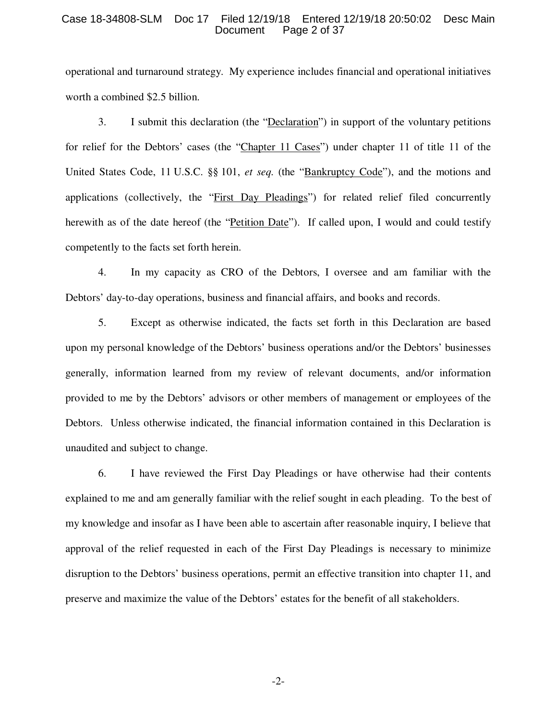#### Case 18-34808-SLM Doc 17 Filed 12/19/18 Entered 12/19/18 20:50:02 Desc Main Page 2 of 37

operational and turnaround strategy. My experience includes financial and operational initiatives worth a combined \$2.5 billion.

3. I submit this declaration (the "Declaration") in support of the voluntary petitions for relief for the Debtors' cases (the "Chapter 11 Cases") under chapter 11 of title 11 of the United States Code, 11 U.S.C. §§ 101, et seq. (the "Bankruptcy Code"), and the motions and applications (collectively, the "First Day Pleadings") for related relief filed concurrently herewith as of the date hereof (the "Petition Date"). If called upon, I would and could testify competently to the facts set forth herein.

4. In my capacity as CRO of the Debtors, I oversee and am familiar with the Debtors' day-to-day operations, business and financial affairs, and books and records.

5. Except as otherwise indicated, the facts set forth in this Declaration are based upon my personal knowledge of the Debtors' business operations and/or the Debtors' businesses generally, information learned from my review of relevant documents, and/or information provided to me by the Debtors' advisors or other members of management or employees of the Debtors. Unless otherwise indicated, the financial information contained in this Declaration is unaudited and subject to change.

6. I have reviewed the First Day Pleadings or have otherwise had their contents explained to me and am generally familiar with the relief sought in each pleading. To the best of my knowledge and insofar as I have been able to ascertain after reasonable inquiry, I believe that approval of the relief requested in each of the First Day Pleadings is necessary to minimize disruption to the Debtors' business operations, permit an effective transition into chapter 11, and preserve and maximize the value of the Debtors' estates for the benefit of all stakeholders.

-2-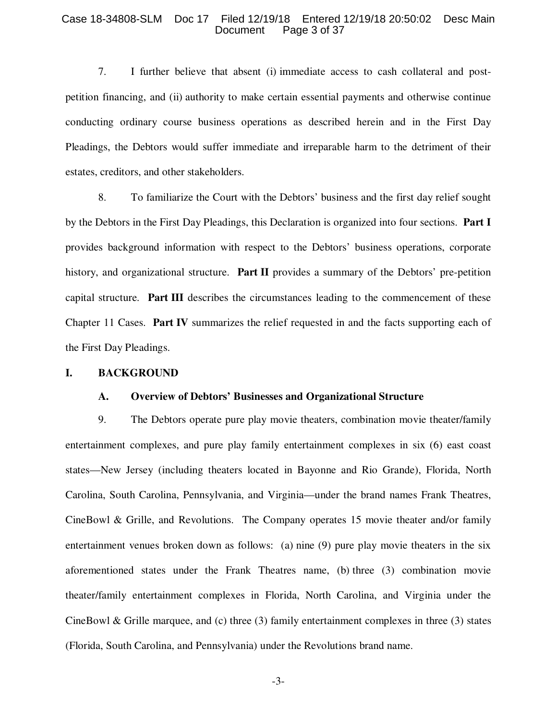#### Case 18-34808-SLM Doc 17 Filed 12/19/18 Entered 12/19/18 20:50:02 Desc Main Page 3 of 37

7. I further believe that absent (i) immediate access to cash collateral and postpetition financing, and (ii) authority to make certain essential payments and otherwise continue conducting ordinary course business operations as described herein and in the First Day Pleadings, the Debtors would suffer immediate and irreparable harm to the detriment of their estates, creditors, and other stakeholders.

8. To familiarize the Court with the Debtors' business and the first day relief sought by the Debtors in the First Day Pleadings, this Declaration is organized into four sections. **Part I** provides background information with respect to the Debtors' business operations, corporate history, and organizational structure. **Part II** provides a summary of the Debtors' pre-petition capital structure. **Part III** describes the circumstances leading to the commencement of these Chapter 11 Cases. **Part IV** summarizes the relief requested in and the facts supporting each of the First Day Pleadings.

#### **I. BACKGROUND**

## **A. Overview of Debtors' Businesses and Organizational Structure**

9. The Debtors operate pure play movie theaters, combination movie theater/family entertainment complexes, and pure play family entertainment complexes in six (6) east coast states—New Jersey (including theaters located in Bayonne and Rio Grande), Florida, North Carolina, South Carolina, Pennsylvania, and Virginia—under the brand names Frank Theatres, CineBowl & Grille, and Revolutions. The Company operates 15 movie theater and/or family entertainment venues broken down as follows: (a) nine (9) pure play movie theaters in the six aforementioned states under the Frank Theatres name, (b) three (3) combination movie theater/family entertainment complexes in Florida, North Carolina, and Virginia under the CineBowl & Grille marquee, and (c) three  $(3)$  family entertainment complexes in three  $(3)$  states (Florida, South Carolina, and Pennsylvania) under the Revolutions brand name.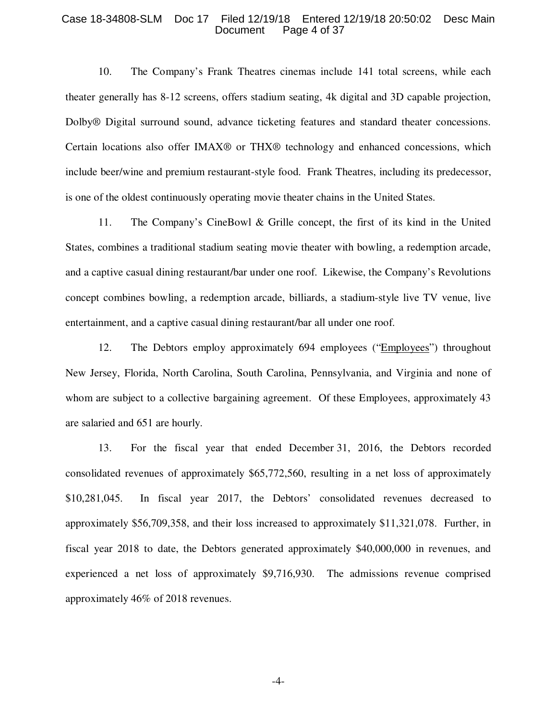#### Case 18-34808-SLM Doc 17 Filed 12/19/18 Entered 12/19/18 20:50:02 Desc Main Page 4 of 37

10. The Company's Frank Theatres cinemas include 141 total screens, while each theater generally has 8-12 screens, offers stadium seating, 4k digital and 3D capable projection, Dolby® Digital surround sound, advance ticketing features and standard theater concessions. Certain locations also offer IMAX® or THX® technology and enhanced concessions, which include beer/wine and premium restaurant-style food. Frank Theatres, including its predecessor, is one of the oldest continuously operating movie theater chains in the United States.

11. The Company's CineBowl & Grille concept, the first of its kind in the United States, combines a traditional stadium seating movie theater with bowling, a redemption arcade, and a captive casual dining restaurant/bar under one roof. Likewise, the Company's Revolutions concept combines bowling, a redemption arcade, billiards, a stadium-style live TV venue, live entertainment, and a captive casual dining restaurant/bar all under one roof.

12. The Debtors employ approximately 694 employees ("Employees") throughout New Jersey, Florida, North Carolina, South Carolina, Pennsylvania, and Virginia and none of whom are subject to a collective bargaining agreement. Of these Employees, approximately 43 are salaried and 651 are hourly.

13. For the fiscal year that ended December 31, 2016, the Debtors recorded consolidated revenues of approximately \$65,772,560, resulting in a net loss of approximately \$10,281,045. In fiscal year 2017, the Debtors' consolidated revenues decreased to approximately \$56,709,358, and their loss increased to approximately \$11,321,078. Further, in fiscal year 2018 to date, the Debtors generated approximately \$40,000,000 in revenues, and experienced a net loss of approximately \$9,716,930. The admissions revenue comprised approximately 46% of 2018 revenues.

-4-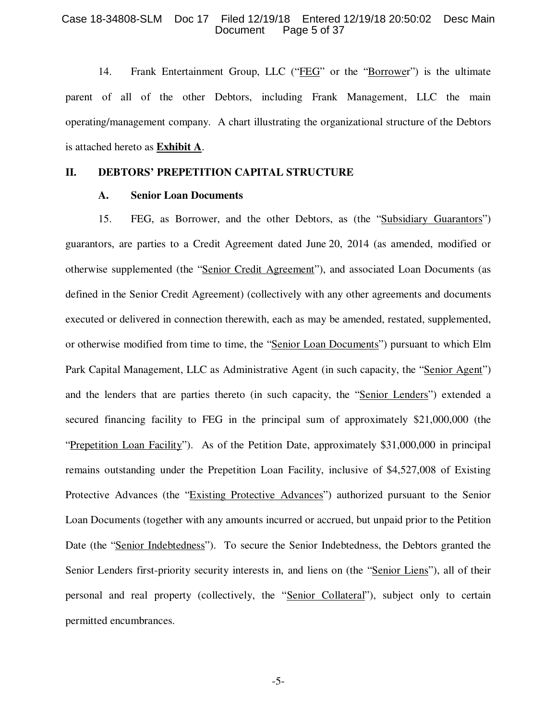#### Case 18-34808-SLM Doc 17 Filed 12/19/18 Entered 12/19/18 20:50:02 Desc Main Page 5 of 37

14. Frank Entertainment Group, LLC ("FEG" or the "Borrower") is the ultimate parent of all of the other Debtors, including Frank Management, LLC the main operating/management company. A chart illustrating the organizational structure of the Debtors is attached hereto as **Exhibit A**.

# **II. DEBTORS' PREPETITION CAPITAL STRUCTURE**

#### **A. Senior Loan Documents**

15. FEG, as Borrower, and the other Debtors, as (the "Subsidiary Guarantors") guarantors, are parties to a Credit Agreement dated June 20, 2014 (as amended, modified or otherwise supplemented (the "Senior Credit Agreement"), and associated Loan Documents (as defined in the Senior Credit Agreement) (collectively with any other agreements and documents executed or delivered in connection therewith, each as may be amended, restated, supplemented, or otherwise modified from time to time, the "Senior Loan Documents") pursuant to which Elm Park Capital Management, LLC as Administrative Agent (in such capacity, the "Senior Agent") and the lenders that are parties thereto (in such capacity, the "Senior Lenders") extended a secured financing facility to FEG in the principal sum of approximately \$21,000,000 (the "Prepetition Loan Facility"). As of the Petition Date, approximately \$31,000,000 in principal remains outstanding under the Prepetition Loan Facility, inclusive of \$4,527,008 of Existing Protective Advances (the "Existing Protective Advances") authorized pursuant to the Senior Loan Documents (together with any amounts incurred or accrued, but unpaid prior to the Petition Date (the "Senior Indebtedness"). To secure the Senior Indebtedness, the Debtors granted the Senior Lenders first-priority security interests in, and liens on (the "Senior Liens"), all of their personal and real property (collectively, the "Senior Collateral"), subject only to certain permitted encumbrances.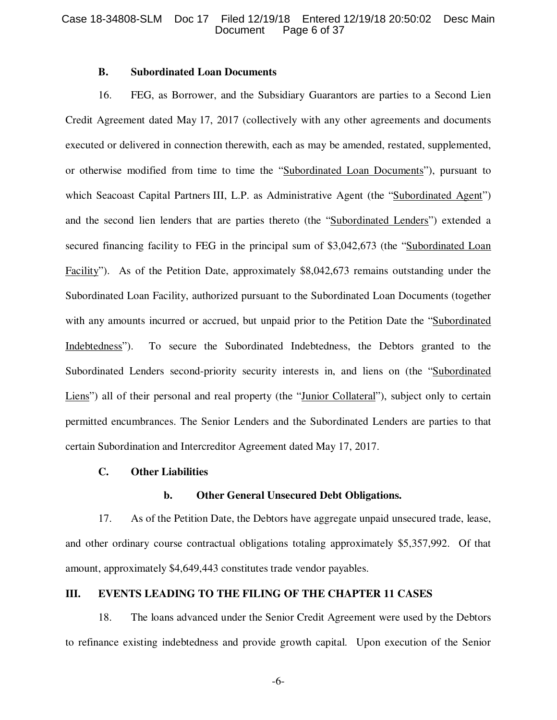## **B. Subordinated Loan Documents**

16. FEG, as Borrower, and the Subsidiary Guarantors are parties to a Second Lien Credit Agreement dated May 17, 2017 (collectively with any other agreements and documents executed or delivered in connection therewith, each as may be amended, restated, supplemented, or otherwise modified from time to time the "Subordinated Loan Documents"), pursuant to which Seacoast Capital Partners III, L.P. as Administrative Agent (the "Subordinated Agent") and the second lien lenders that are parties thereto (the "Subordinated Lenders") extended a secured financing facility to FEG in the principal sum of \$3,042,673 (the "Subordinated Loan Facility"). As of the Petition Date, approximately \$8,042,673 remains outstanding under the Subordinated Loan Facility, authorized pursuant to the Subordinated Loan Documents (together with any amounts incurred or accrued, but unpaid prior to the Petition Date the "Subordinated Indebtedness"). To secure the Subordinated Indebtedness, the Debtors granted to the Subordinated Lenders second-priority security interests in, and liens on (the "Subordinated Liens") all of their personal and real property (the "Junior Collateral"), subject only to certain permitted encumbrances. The Senior Lenders and the Subordinated Lenders are parties to that certain Subordination and Intercreditor Agreement dated May 17, 2017.

# **C. Other Liabilities**

## **b. Other General Unsecured Debt Obligations.**

17. As of the Petition Date, the Debtors have aggregate unpaid unsecured trade, lease, and other ordinary course contractual obligations totaling approximately \$5,357,992. Of that amount, approximately \$4,649,443 constitutes trade vendor payables.

# **III. EVENTS LEADING TO THE FILING OF THE CHAPTER 11 CASES**

18. The loans advanced under the Senior Credit Agreement were used by the Debtors to refinance existing indebtedness and provide growth capital. Upon execution of the Senior

-6-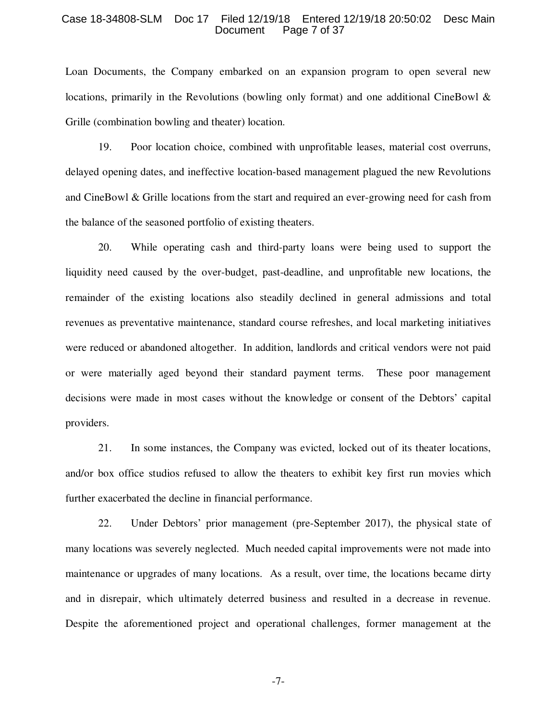#### Case 18-34808-SLM Doc 17 Filed 12/19/18 Entered 12/19/18 20:50:02 Desc Main Page 7 of 37

Loan Documents, the Company embarked on an expansion program to open several new locations, primarily in the Revolutions (bowling only format) and one additional CineBowl & Grille (combination bowling and theater) location.

19. Poor location choice, combined with unprofitable leases, material cost overruns, delayed opening dates, and ineffective location-based management plagued the new Revolutions and CineBowl & Grille locations from the start and required an ever-growing need for cash from the balance of the seasoned portfolio of existing theaters.

20. While operating cash and third-party loans were being used to support the liquidity need caused by the over-budget, past-deadline, and unprofitable new locations, the remainder of the existing locations also steadily declined in general admissions and total revenues as preventative maintenance, standard course refreshes, and local marketing initiatives were reduced or abandoned altogether. In addition, landlords and critical vendors were not paid or were materially aged beyond their standard payment terms. These poor management decisions were made in most cases without the knowledge or consent of the Debtors' capital providers.

21. In some instances, the Company was evicted, locked out of its theater locations, and/or box office studios refused to allow the theaters to exhibit key first run movies which further exacerbated the decline in financial performance.

22. Under Debtors' prior management (pre-September 2017), the physical state of many locations was severely neglected. Much needed capital improvements were not made into maintenance or upgrades of many locations. As a result, over time, the locations became dirty and in disrepair, which ultimately deterred business and resulted in a decrease in revenue. Despite the aforementioned project and operational challenges, former management at the

-7-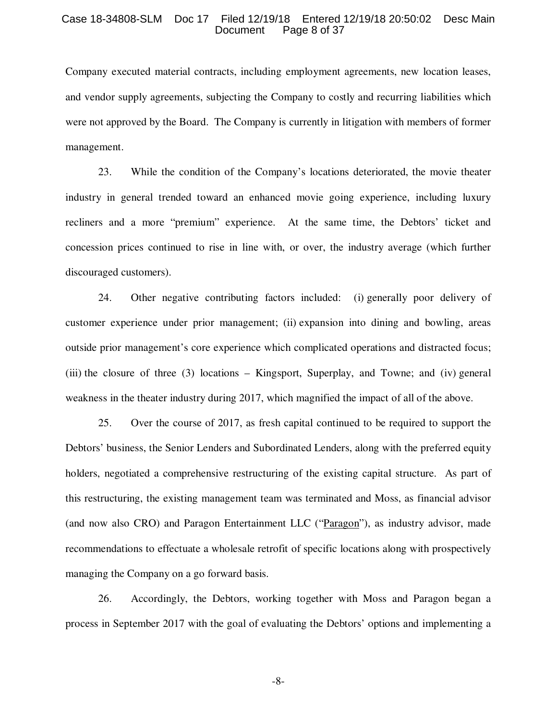#### Case 18-34808-SLM Doc 17 Filed 12/19/18 Entered 12/19/18 20:50:02 Desc Main Page 8 of 37

Company executed material contracts, including employment agreements, new location leases, and vendor supply agreements, subjecting the Company to costly and recurring liabilities which were not approved by the Board. The Company is currently in litigation with members of former management.

23. While the condition of the Company's locations deteriorated, the movie theater industry in general trended toward an enhanced movie going experience, including luxury recliners and a more "premium" experience. At the same time, the Debtors' ticket and concession prices continued to rise in line with, or over, the industry average (which further discouraged customers).

24. Other negative contributing factors included: (i) generally poor delivery of customer experience under prior management; (ii) expansion into dining and bowling, areas outside prior management's core experience which complicated operations and distracted focus; (iii) the closure of three (3) locations – Kingsport, Superplay, and Towne; and (iv) general weakness in the theater industry during 2017, which magnified the impact of all of the above.

25. Over the course of 2017, as fresh capital continued to be required to support the Debtors' business, the Senior Lenders and Subordinated Lenders, along with the preferred equity holders, negotiated a comprehensive restructuring of the existing capital structure. As part of this restructuring, the existing management team was terminated and Moss, as financial advisor (and now also CRO) and Paragon Entertainment LLC ("Paragon"), as industry advisor, made recommendations to effectuate a wholesale retrofit of specific locations along with prospectively managing the Company on a go forward basis.

26. Accordingly, the Debtors, working together with Moss and Paragon began a process in September 2017 with the goal of evaluating the Debtors' options and implementing a

-8-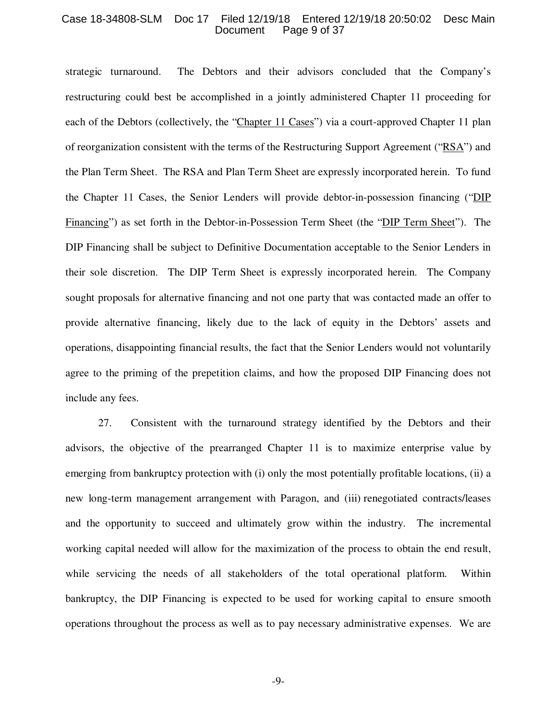#### Case 18-34808-SLM Doc 17 Filed 12/19/18 Entered 12/19/18 20:50:02 Desc Main Page 9 of 37

strategic turnaround. The Debtors and their advisors concluded that the Company's restructuring could best be accomplished in a jointly administered Chapter 11 proceeding for each of the Debtors (collectively, the "Chapter 11 Cases") via a court-approved Chapter 11 plan of reorganization consistent with the terms of the Restructuring Support Agreement ("RSA") and the Plan Term Sheet. The RSA and Plan Term Sheet are expressly incorporated herein. To fund the Chapter 11 Cases, the Senior Lenders will provide debtor-in-possession financing ("DIP Financing") as set forth in the Debtor-in-Possession Term Sheet (the "DIP Term Sheet"). The DIP Financing shall be subject to Definitive Documentation acceptable to the Senior Lenders in their sole discretion. The DIP Term Sheet is expressly incorporated herein. The Company sought proposals for alternative financing and not one party that was contacted made an offer to provide alternative financing, likely due to the lack of equity in the Debtors' assets and operations, disappointing financial results, the fact that the Senior Lenders would not voluntarily agree to the priming of the prepetition claims, and how the proposed DIP Financing does not include any fees.

27. Consistent with the turnaround strategy identified by the Debtors and their advisors, the objective of the prearranged Chapter 11 is to maximize enterprise value by emerging from bankruptcy protection with (i) only the most potentially profitable locations, (ii) a new long-term management arrangement with Paragon, and (iii) renegotiated contracts/leases and the opportunity to succeed and ultimately grow within the industry. The incremental working capital needed will allow for the maximization of the process to obtain the end result, while servicing the needs of all stakeholders of the total operational platform. Within bankruptcy, the DIP Financing is expected to be used for working capital to ensure smooth operations throughout the process as well as to pay necessary administrative expenses. We are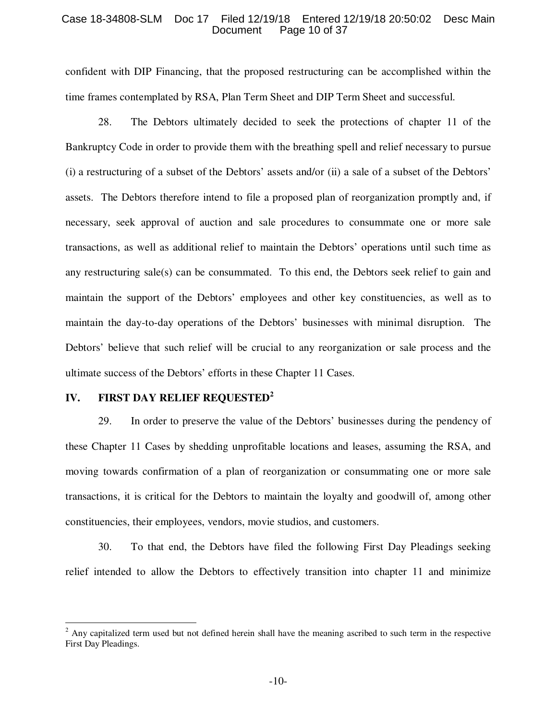#### Case 18-34808-SLM Doc 17 Filed 12/19/18 Entered 12/19/18 20:50:02 Desc Main Page 10 of 37

confident with DIP Financing, that the proposed restructuring can be accomplished within the time frames contemplated by RSA, Plan Term Sheet and DIP Term Sheet and successful.

28. The Debtors ultimately decided to seek the protections of chapter 11 of the Bankruptcy Code in order to provide them with the breathing spell and relief necessary to pursue (i) a restructuring of a subset of the Debtors' assets and/or (ii) a sale of a subset of the Debtors' assets. The Debtors therefore intend to file a proposed plan of reorganization promptly and, if necessary, seek approval of auction and sale procedures to consummate one or more sale transactions, as well as additional relief to maintain the Debtors' operations until such time as any restructuring sale(s) can be consummated. To this end, the Debtors seek relief to gain and maintain the support of the Debtors' employees and other key constituencies, as well as to maintain the day-to-day operations of the Debtors' businesses with minimal disruption. The Debtors' believe that such relief will be crucial to any reorganization or sale process and the ultimate success of the Debtors' efforts in these Chapter 11 Cases.

# **IV. FIRST DAY RELIEF REQUESTED<sup>2</sup>**

-

29. In order to preserve the value of the Debtors' businesses during the pendency of these Chapter 11 Cases by shedding unprofitable locations and leases, assuming the RSA, and moving towards confirmation of a plan of reorganization or consummating one or more sale transactions, it is critical for the Debtors to maintain the loyalty and goodwill of, among other constituencies, their employees, vendors, movie studios, and customers.

30. To that end, the Debtors have filed the following First Day Pleadings seeking relief intended to allow the Debtors to effectively transition into chapter 11 and minimize

 $2$  Any capitalized term used but not defined herein shall have the meaning ascribed to such term in the respective First Day Pleadings.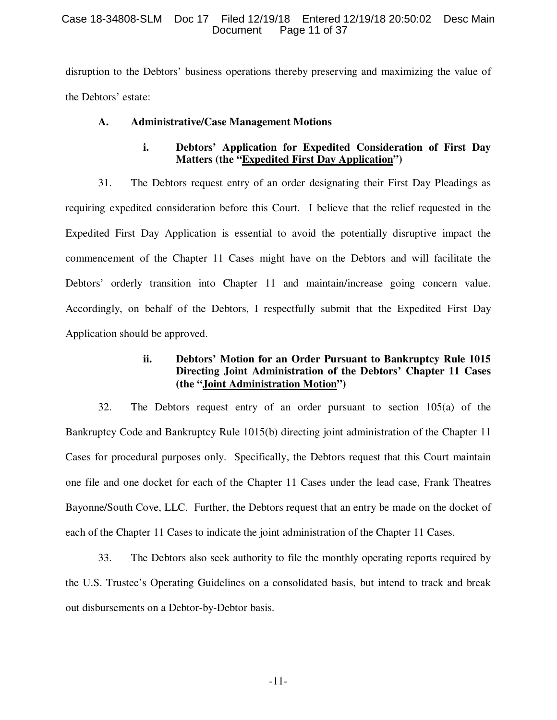## Case 18-34808-SLM Doc 17 Filed 12/19/18 Entered 12/19/18 20:50:02 Desc Main Page 11 of 37

disruption to the Debtors' business operations thereby preserving and maximizing the value of the Debtors' estate:

# **A. Administrative/Case Management Motions**

# **i. Debtors' Application for Expedited Consideration of First Day Matters (the "Expedited First Day Application")**

31. The Debtors request entry of an order designating their First Day Pleadings as requiring expedited consideration before this Court. I believe that the relief requested in the Expedited First Day Application is essential to avoid the potentially disruptive impact the commencement of the Chapter 11 Cases might have on the Debtors and will facilitate the Debtors' orderly transition into Chapter 11 and maintain/increase going concern value. Accordingly, on behalf of the Debtors, I respectfully submit that the Expedited First Day Application should be approved.

# **ii. Debtors' Motion for an Order Pursuant to Bankruptcy Rule 1015 Directing Joint Administration of the Debtors' Chapter 11 Cases (the "Joint Administration Motion")**

32. The Debtors request entry of an order pursuant to section 105(a) of the Bankruptcy Code and Bankruptcy Rule 1015(b) directing joint administration of the Chapter 11 Cases for procedural purposes only. Specifically, the Debtors request that this Court maintain one file and one docket for each of the Chapter 11 Cases under the lead case, Frank Theatres Bayonne/South Cove, LLC. Further, the Debtors request that an entry be made on the docket of each of the Chapter 11 Cases to indicate the joint administration of the Chapter 11 Cases.

33. The Debtors also seek authority to file the monthly operating reports required by the U.S. Trustee's Operating Guidelines on a consolidated basis, but intend to track and break out disbursements on a Debtor-by-Debtor basis.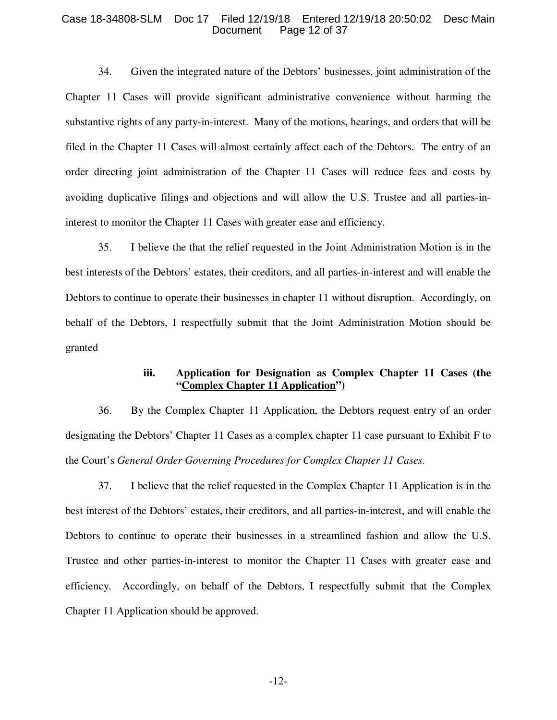#### Case 18-34808-SLM Doc 17 Filed 12/19/18 Entered 12/19/18 20:50:02 Desc Main Page 12 of 37

34. Given the integrated nature of the Debtors' businesses, joint administration of the Chapter 11 Cases will provide significant administrative convenience without harming the substantive rights of any party-in-interest. Many of the motions, hearings, and orders that will be filed in the Chapter 11 Cases will almost certainly affect each of the Debtors. The entry of an order directing joint administration of the Chapter 11 Cases will reduce fees and costs by avoiding duplicative filings and objections and will allow the U.S. Trustee and all parties-ininterest to monitor the Chapter 11 Cases with greater ease and efficiency.

35. I believe the that the relief requested in the Joint Administration Motion is in the best interests of the Debtors' estates, their creditors, and all parties-in-interest and will enable the Debtors to continue to operate their businesses in chapter 11 without disruption. Accordingly, on behalf of the Debtors, I respectfully submit that the Joint Administration Motion should be granted

# **iii. Application for Designation as Complex Chapter 11 Cases (the "Complex Chapter 11 Application")**

36. By the Complex Chapter 11 Application, the Debtors request entry of an order designating the Debtors' Chapter 11 Cases as a complex chapter 11 case pursuant to Exhibit F to the Court's *General Order Governing Procedures for Complex Chapter 11 Cases.*

37. I believe that the relief requested in the Complex Chapter 11 Application is in the best interest of the Debtors' estates, their creditors, and all parties-in-interest, and will enable the Debtors to continue to operate their businesses in a streamlined fashion and allow the U.S. Trustee and other parties-in-interest to monitor the Chapter 11 Cases with greater ease and efficiency. Accordingly, on behalf of the Debtors, I respectfully submit that the Complex Chapter 11 Application should be approved.

-12-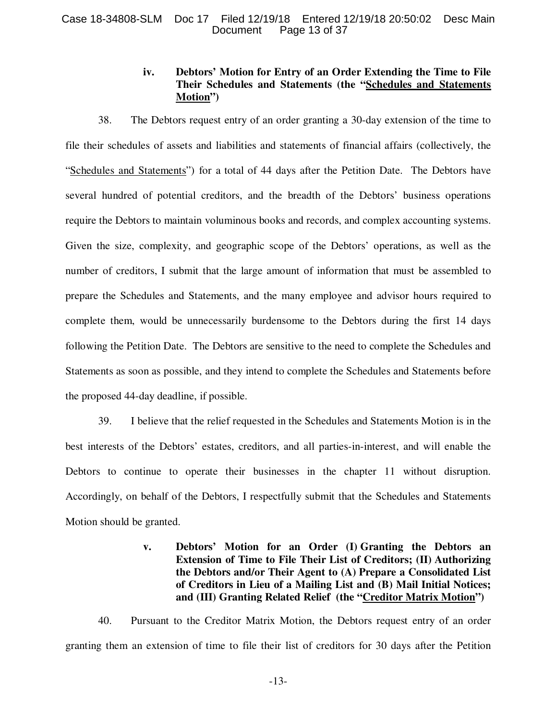# **iv. Debtors' Motion for Entry of an Order Extending the Time to File Their Schedules and Statements (the "Schedules and Statements Motion")**

38. The Debtors request entry of an order granting a 30-day extension of the time to file their schedules of assets and liabilities and statements of financial affairs (collectively, the "Schedules and Statements") for a total of 44 days after the Petition Date. The Debtors have several hundred of potential creditors, and the breadth of the Debtors' business operations require the Debtors to maintain voluminous books and records, and complex accounting systems. Given the size, complexity, and geographic scope of the Debtors' operations, as well as the number of creditors, I submit that the large amount of information that must be assembled to prepare the Schedules and Statements, and the many employee and advisor hours required to complete them, would be unnecessarily burdensome to the Debtors during the first 14 days following the Petition Date. The Debtors are sensitive to the need to complete the Schedules and Statements as soon as possible, and they intend to complete the Schedules and Statements before the proposed 44-day deadline, if possible.

39. I believe that the relief requested in the Schedules and Statements Motion is in the best interests of the Debtors' estates, creditors, and all parties-in-interest, and will enable the Debtors to continue to operate their businesses in the chapter 11 without disruption. Accordingly, on behalf of the Debtors, I respectfully submit that the Schedules and Statements Motion should be granted.

# **v. Debtors' Motion for an Order (I) Granting the Debtors an Extension of Time to File Their List of Creditors; (II) Authorizing the Debtors and/or Their Agent to (A) Prepare a Consolidated List of Creditors in Lieu of a Mailing List and (B) Mail Initial Notices; and (III) Granting Related Relief (the "Creditor Matrix Motion")**

40. Pursuant to the Creditor Matrix Motion, the Debtors request entry of an order granting them an extension of time to file their list of creditors for 30 days after the Petition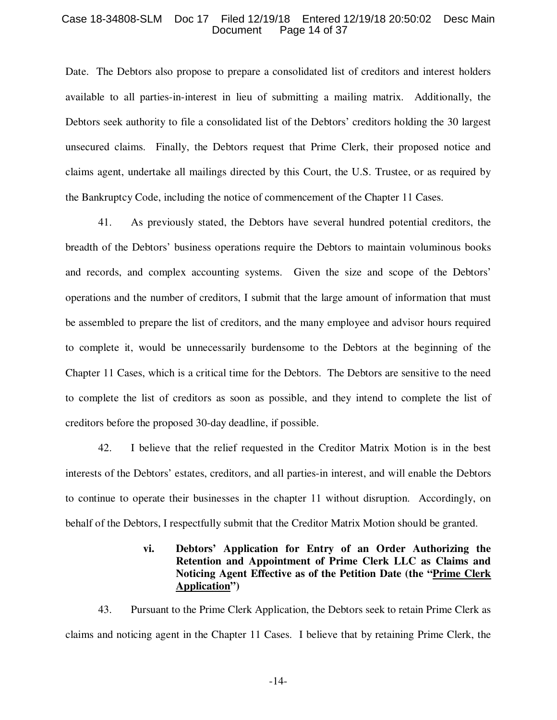#### Case 18-34808-SLM Doc 17 Filed 12/19/18 Entered 12/19/18 20:50:02 Desc Main Page 14 of 37

Date. The Debtors also propose to prepare a consolidated list of creditors and interest holders available to all parties-in-interest in lieu of submitting a mailing matrix. Additionally, the Debtors seek authority to file a consolidated list of the Debtors' creditors holding the 30 largest unsecured claims. Finally, the Debtors request that Prime Clerk, their proposed notice and claims agent, undertake all mailings directed by this Court, the U.S. Trustee, or as required by the Bankruptcy Code, including the notice of commencement of the Chapter 11 Cases.

41. As previously stated, the Debtors have several hundred potential creditors, the breadth of the Debtors' business operations require the Debtors to maintain voluminous books and records, and complex accounting systems. Given the size and scope of the Debtors' operations and the number of creditors, I submit that the large amount of information that must be assembled to prepare the list of creditors, and the many employee and advisor hours required to complete it, would be unnecessarily burdensome to the Debtors at the beginning of the Chapter 11 Cases, which is a critical time for the Debtors. The Debtors are sensitive to the need to complete the list of creditors as soon as possible, and they intend to complete the list of creditors before the proposed 30-day deadline, if possible.

42. I believe that the relief requested in the Creditor Matrix Motion is in the best interests of the Debtors' estates, creditors, and all parties-in interest, and will enable the Debtors to continue to operate their businesses in the chapter 11 without disruption. Accordingly, on behalf of the Debtors, I respectfully submit that the Creditor Matrix Motion should be granted.

# **vi. Debtors' Application for Entry of an Order Authorizing the Retention and Appointment of Prime Clerk LLC as Claims and Noticing Agent Effective as of the Petition Date (the "Prime Clerk Application")**

43. Pursuant to the Prime Clerk Application, the Debtors seek to retain Prime Clerk as claims and noticing agent in the Chapter 11 Cases. I believe that by retaining Prime Clerk, the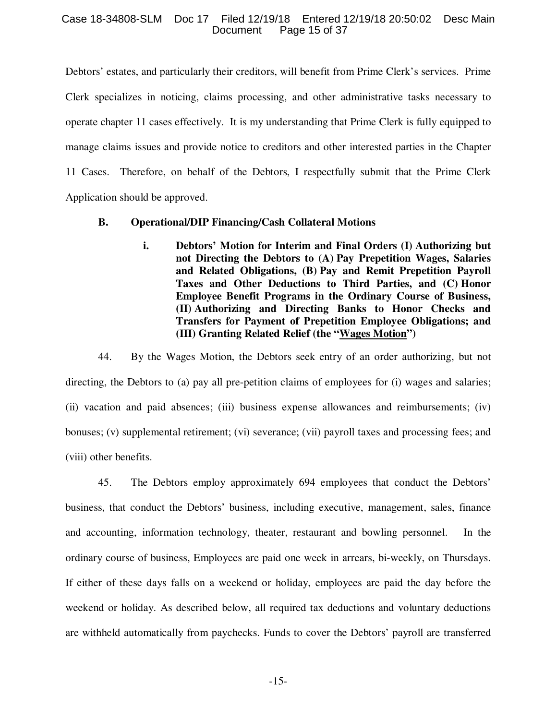## Case 18-34808-SLM Doc 17 Filed 12/19/18 Entered 12/19/18 20:50:02 Desc Main Page 15 of 37

Debtors' estates, and particularly their creditors, will benefit from Prime Clerk's services. Prime Clerk specializes in noticing, claims processing, and other administrative tasks necessary to operate chapter 11 cases effectively. It is my understanding that Prime Clerk is fully equipped to manage claims issues and provide notice to creditors and other interested parties in the Chapter 11 Cases. Therefore, on behalf of the Debtors, I respectfully submit that the Prime Clerk Application should be approved.

# **B. Operational/DIP Financing/Cash Collateral Motions**

**i. Debtors' Motion for Interim and Final Orders (I) Authorizing but not Directing the Debtors to (A) Pay Prepetition Wages, Salaries and Related Obligations, (B) Pay and Remit Prepetition Payroll Taxes and Other Deductions to Third Parties, and (C) Honor Employee Benefit Programs in the Ordinary Course of Business, (II) Authorizing and Directing Banks to Honor Checks and Transfers for Payment of Prepetition Employee Obligations; and (III) Granting Related Relief (the "Wages Motion")** 

44. By the Wages Motion, the Debtors seek entry of an order authorizing, but not directing, the Debtors to (a) pay all pre-petition claims of employees for (i) wages and salaries; (ii) vacation and paid absences; (iii) business expense allowances and reimbursements; (iv) bonuses; (v) supplemental retirement; (vi) severance; (vii) payroll taxes and processing fees; and (viii) other benefits.

45. The Debtors employ approximately 694 employees that conduct the Debtors' business, that conduct the Debtors' business, including executive, management, sales, finance and accounting, information technology, theater, restaurant and bowling personnel. In the ordinary course of business, Employees are paid one week in arrears, bi-weekly, on Thursdays. If either of these days falls on a weekend or holiday, employees are paid the day before the weekend or holiday. As described below, all required tax deductions and voluntary deductions are withheld automatically from paychecks. Funds to cover the Debtors' payroll are transferred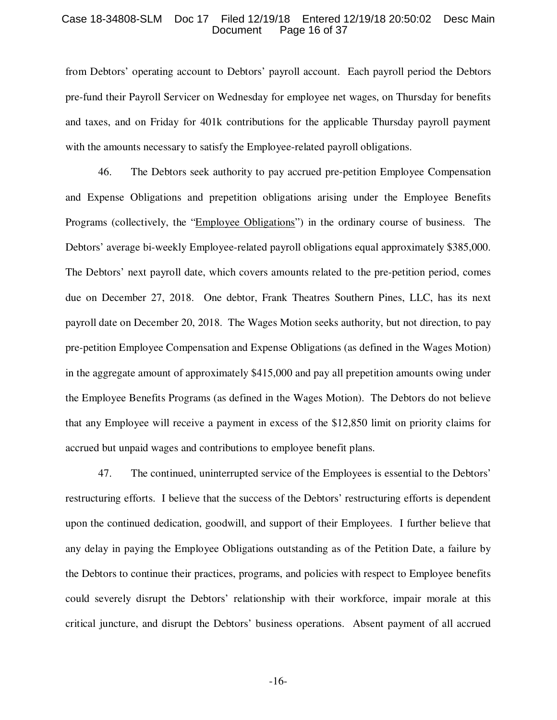#### Case 18-34808-SLM Doc 17 Filed 12/19/18 Entered 12/19/18 20:50:02 Desc Main Page 16 of 37

from Debtors' operating account to Debtors' payroll account. Each payroll period the Debtors pre-fund their Payroll Servicer on Wednesday for employee net wages, on Thursday for benefits and taxes, and on Friday for 401k contributions for the applicable Thursday payroll payment with the amounts necessary to satisfy the Employee-related payroll obligations.

46. The Debtors seek authority to pay accrued pre-petition Employee Compensation and Expense Obligations and prepetition obligations arising under the Employee Benefits Programs (collectively, the "Employee Obligations") in the ordinary course of business. The Debtors' average bi-weekly Employee-related payroll obligations equal approximately \$385,000. The Debtors' next payroll date, which covers amounts related to the pre-petition period, comes due on December 27, 2018. One debtor, Frank Theatres Southern Pines, LLC, has its next payroll date on December 20, 2018. The Wages Motion seeks authority, but not direction, to pay pre-petition Employee Compensation and Expense Obligations (as defined in the Wages Motion) in the aggregate amount of approximately \$415,000 and pay all prepetition amounts owing under the Employee Benefits Programs (as defined in the Wages Motion). The Debtors do not believe that any Employee will receive a payment in excess of the \$12,850 limit on priority claims for accrued but unpaid wages and contributions to employee benefit plans.

47. The continued, uninterrupted service of the Employees is essential to the Debtors' restructuring efforts. I believe that the success of the Debtors' restructuring efforts is dependent upon the continued dedication, goodwill, and support of their Employees. I further believe that any delay in paying the Employee Obligations outstanding as of the Petition Date, a failure by the Debtors to continue their practices, programs, and policies with respect to Employee benefits could severely disrupt the Debtors' relationship with their workforce, impair morale at this critical juncture, and disrupt the Debtors' business operations. Absent payment of all accrued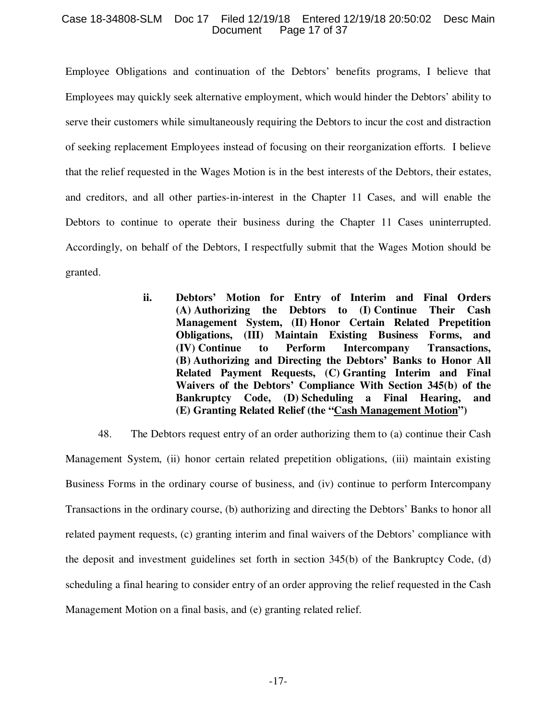### Case 18-34808-SLM Doc 17 Filed 12/19/18 Entered 12/19/18 20:50:02 Desc Main Page 17 of 37

Employee Obligations and continuation of the Debtors' benefits programs, I believe that Employees may quickly seek alternative employment, which would hinder the Debtors' ability to serve their customers while simultaneously requiring the Debtors to incur the cost and distraction of seeking replacement Employees instead of focusing on their reorganization efforts. I believe that the relief requested in the Wages Motion is in the best interests of the Debtors, their estates, and creditors, and all other parties-in-interest in the Chapter 11 Cases, and will enable the Debtors to continue to operate their business during the Chapter 11 Cases uninterrupted. Accordingly, on behalf of the Debtors, I respectfully submit that the Wages Motion should be granted.

> **ii. Debtors' Motion for Entry of Interim and Final Orders (A) Authorizing the Debtors to (I) Continue Their Cash Management System, (II) Honor Certain Related Prepetition Obligations, (III) Maintain Existing Business Forms, and (IV) Continue to Perform Intercompany Transactions, (B) Authorizing and Directing the Debtors' Banks to Honor All Related Payment Requests, (C) Granting Interim and Final Waivers of the Debtors' Compliance With Section 345(b) of the Bankruptcy Code, (D) Scheduling a Final Hearing, and (E) Granting Related Relief (the "Cash Management Motion")**

48. The Debtors request entry of an order authorizing them to (a) continue their Cash Management System, (ii) honor certain related prepetition obligations, (iii) maintain existing Business Forms in the ordinary course of business, and (iv) continue to perform Intercompany Transactions in the ordinary course, (b) authorizing and directing the Debtors' Banks to honor all related payment requests, (c) granting interim and final waivers of the Debtors' compliance with the deposit and investment guidelines set forth in section 345(b) of the Bankruptcy Code, (d) scheduling a final hearing to consider entry of an order approving the relief requested in the Cash Management Motion on a final basis, and (e) granting related relief.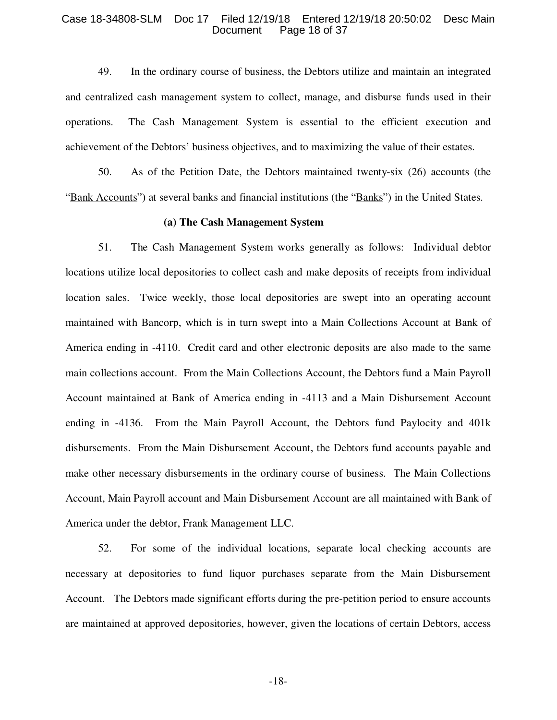#### Case 18-34808-SLM Doc 17 Filed 12/19/18 Entered 12/19/18 20:50:02 Desc Main Page 18 of 37

49. In the ordinary course of business, the Debtors utilize and maintain an integrated and centralized cash management system to collect, manage, and disburse funds used in their operations. The Cash Management System is essential to the efficient execution and achievement of the Debtors' business objectives, and to maximizing the value of their estates.

50. As of the Petition Date, the Debtors maintained twenty-six (26) accounts (the "Bank Accounts") at several banks and financial institutions (the "Banks") in the United States.

#### **(a) The Cash Management System**

51. The Cash Management System works generally as follows: Individual debtor locations utilize local depositories to collect cash and make deposits of receipts from individual location sales. Twice weekly, those local depositories are swept into an operating account maintained with Bancorp, which is in turn swept into a Main Collections Account at Bank of America ending in -4110. Credit card and other electronic deposits are also made to the same main collections account. From the Main Collections Account, the Debtors fund a Main Payroll Account maintained at Bank of America ending in -4113 and a Main Disbursement Account ending in -4136. From the Main Payroll Account, the Debtors fund Paylocity and 401k disbursements. From the Main Disbursement Account, the Debtors fund accounts payable and make other necessary disbursements in the ordinary course of business. The Main Collections Account, Main Payroll account and Main Disbursement Account are all maintained with Bank of America under the debtor, Frank Management LLC.

52. For some of the individual locations, separate local checking accounts are necessary at depositories to fund liquor purchases separate from the Main Disbursement Account. The Debtors made significant efforts during the pre-petition period to ensure accounts are maintained at approved depositories, however, given the locations of certain Debtors, access

-18-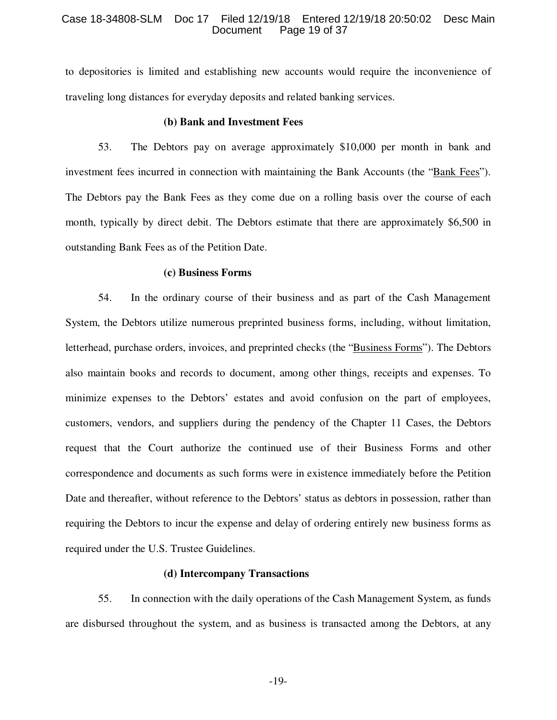#### Case 18-34808-SLM Doc 17 Filed 12/19/18 Entered 12/19/18 20:50:02 Desc Main Page 19 of 37

to depositories is limited and establishing new accounts would require the inconvenience of traveling long distances for everyday deposits and related banking services.

#### **(b) Bank and Investment Fees**

53. The Debtors pay on average approximately \$10,000 per month in bank and investment fees incurred in connection with maintaining the Bank Accounts (the "Bank Fees"). The Debtors pay the Bank Fees as they come due on a rolling basis over the course of each month, typically by direct debit. The Debtors estimate that there are approximately \$6,500 in outstanding Bank Fees as of the Petition Date.

#### **(c) Business Forms**

54. In the ordinary course of their business and as part of the Cash Management System, the Debtors utilize numerous preprinted business forms, including, without limitation, letterhead, purchase orders, invoices, and preprinted checks (the "Business Forms"). The Debtors also maintain books and records to document, among other things, receipts and expenses. To minimize expenses to the Debtors' estates and avoid confusion on the part of employees, customers, vendors, and suppliers during the pendency of the Chapter 11 Cases, the Debtors request that the Court authorize the continued use of their Business Forms and other correspondence and documents as such forms were in existence immediately before the Petition Date and thereafter, without reference to the Debtors' status as debtors in possession, rather than requiring the Debtors to incur the expense and delay of ordering entirely new business forms as required under the U.S. Trustee Guidelines.

#### **(d) Intercompany Transactions**

55. In connection with the daily operations of the Cash Management System, as funds are disbursed throughout the system, and as business is transacted among the Debtors, at any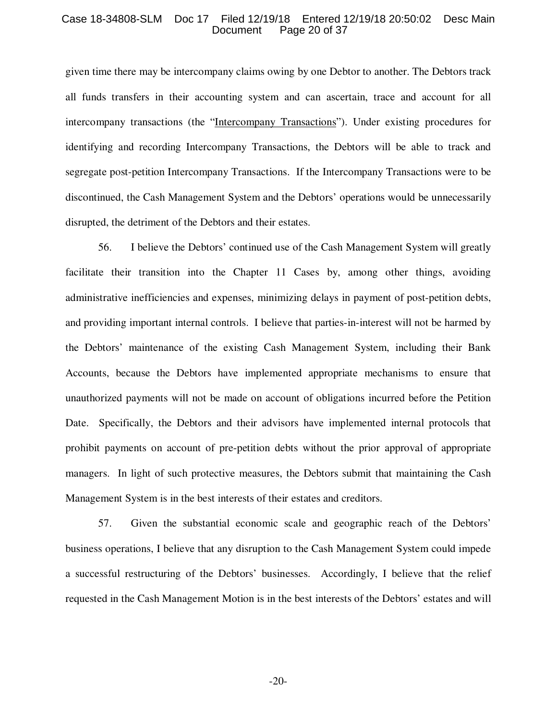#### Case 18-34808-SLM Doc 17 Filed 12/19/18 Entered 12/19/18 20:50:02 Desc Main Page 20 of 37

given time there may be intercompany claims owing by one Debtor to another. The Debtors track all funds transfers in their accounting system and can ascertain, trace and account for all intercompany transactions (the "Intercompany Transactions"). Under existing procedures for identifying and recording Intercompany Transactions, the Debtors will be able to track and segregate post-petition Intercompany Transactions. If the Intercompany Transactions were to be discontinued, the Cash Management System and the Debtors' operations would be unnecessarily disrupted, the detriment of the Debtors and their estates.

56. I believe the Debtors' continued use of the Cash Management System will greatly facilitate their transition into the Chapter 11 Cases by, among other things, avoiding administrative inefficiencies and expenses, minimizing delays in payment of post-petition debts, and providing important internal controls. I believe that parties-in-interest will not be harmed by the Debtors' maintenance of the existing Cash Management System, including their Bank Accounts, because the Debtors have implemented appropriate mechanisms to ensure that unauthorized payments will not be made on account of obligations incurred before the Petition Date. Specifically, the Debtors and their advisors have implemented internal protocols that prohibit payments on account of pre-petition debts without the prior approval of appropriate managers. In light of such protective measures, the Debtors submit that maintaining the Cash Management System is in the best interests of their estates and creditors.

57. Given the substantial economic scale and geographic reach of the Debtors' business operations, I believe that any disruption to the Cash Management System could impede a successful restructuring of the Debtors' businesses. Accordingly, I believe that the relief requested in the Cash Management Motion is in the best interests of the Debtors' estates and will

-20-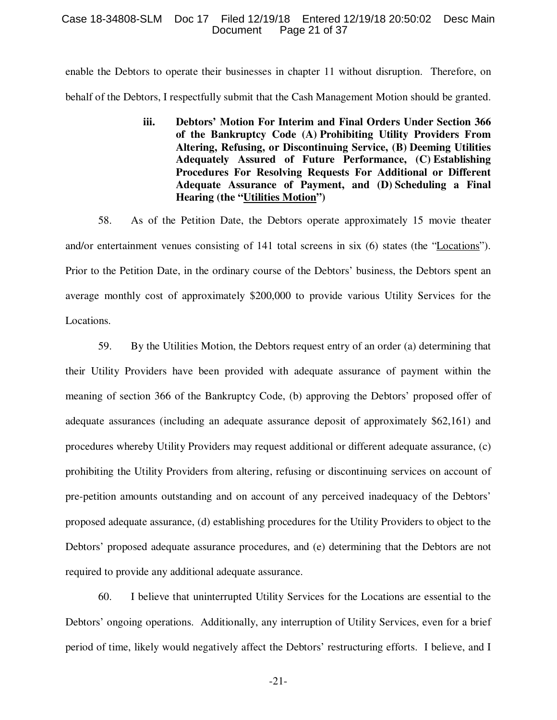#### Case 18-34808-SLM Doc 17 Filed 12/19/18 Entered 12/19/18 20:50:02 Desc Main Page 21 of 37

enable the Debtors to operate their businesses in chapter 11 without disruption. Therefore, on behalf of the Debtors, I respectfully submit that the Cash Management Motion should be granted.

> **iii. Debtors' Motion For Interim and Final Orders Under Section 366 of the Bankruptcy Code (A) Prohibiting Utility Providers From Altering, Refusing, or Discontinuing Service, (B) Deeming Utilities Adequately Assured of Future Performance, (C) Establishing Procedures For Resolving Requests For Additional or Different Adequate Assurance of Payment, and (D) Scheduling a Final Hearing (the "Utilities Motion")**

58. As of the Petition Date, the Debtors operate approximately 15 movie theater and/or entertainment venues consisting of 141 total screens in six (6) states (the "Locations"). Prior to the Petition Date, in the ordinary course of the Debtors' business, the Debtors spent an average monthly cost of approximately \$200,000 to provide various Utility Services for the Locations.

59. By the Utilities Motion, the Debtors request entry of an order (a) determining that their Utility Providers have been provided with adequate assurance of payment within the meaning of section 366 of the Bankruptcy Code, (b) approving the Debtors' proposed offer of adequate assurances (including an adequate assurance deposit of approximately \$62,161) and procedures whereby Utility Providers may request additional or different adequate assurance, (c) prohibiting the Utility Providers from altering, refusing or discontinuing services on account of pre-petition amounts outstanding and on account of any perceived inadequacy of the Debtors' proposed adequate assurance, (d) establishing procedures for the Utility Providers to object to the Debtors' proposed adequate assurance procedures, and (e) determining that the Debtors are not required to provide any additional adequate assurance.

60. I believe that uninterrupted Utility Services for the Locations are essential to the Debtors' ongoing operations. Additionally, any interruption of Utility Services, even for a brief period of time, likely would negatively affect the Debtors' restructuring efforts. I believe, and I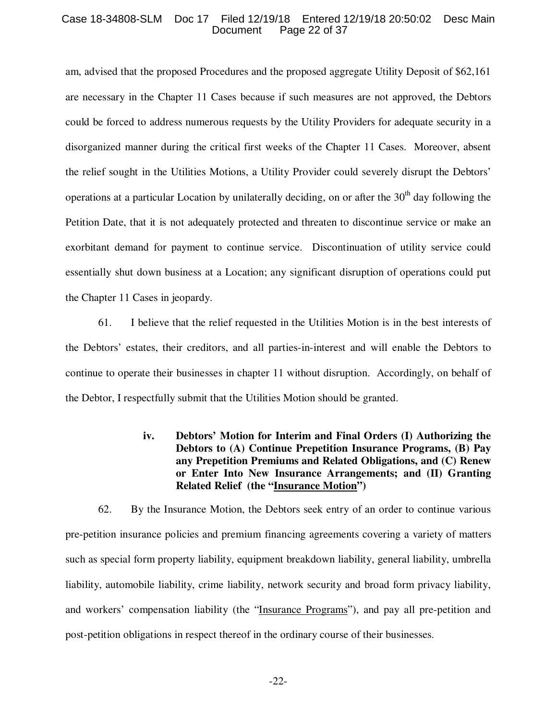#### Case 18-34808-SLM Doc 17 Filed 12/19/18 Entered 12/19/18 20:50:02 Desc Main Page 22 of 37

am, advised that the proposed Procedures and the proposed aggregate Utility Deposit of \$62,161 are necessary in the Chapter 11 Cases because if such measures are not approved, the Debtors could be forced to address numerous requests by the Utility Providers for adequate security in a disorganized manner during the critical first weeks of the Chapter 11 Cases. Moreover, absent the relief sought in the Utilities Motions, a Utility Provider could severely disrupt the Debtors' operations at a particular Location by unilaterally deciding, on or after the  $30<sup>th</sup>$  day following the Petition Date, that it is not adequately protected and threaten to discontinue service or make an exorbitant demand for payment to continue service. Discontinuation of utility service could essentially shut down business at a Location; any significant disruption of operations could put the Chapter 11 Cases in jeopardy.

61. I believe that the relief requested in the Utilities Motion is in the best interests of the Debtors' estates, their creditors, and all parties-in-interest and will enable the Debtors to continue to operate their businesses in chapter 11 without disruption. Accordingly, on behalf of the Debtor, I respectfully submit that the Utilities Motion should be granted.

> **iv. Debtors' Motion for Interim and Final Orders (I) Authorizing the Debtors to (A) Continue Prepetition Insurance Programs, (B) Pay any Prepetition Premiums and Related Obligations, and (C) Renew or Enter Into New Insurance Arrangements; and (II) Granting Related Relief (the "Insurance Motion")**

62. By the Insurance Motion, the Debtors seek entry of an order to continue various pre-petition insurance policies and premium financing agreements covering a variety of matters such as special form property liability, equipment breakdown liability, general liability, umbrella liability, automobile liability, crime liability, network security and broad form privacy liability, and workers' compensation liability (the "Insurance Programs"), and pay all pre-petition and post-petition obligations in respect thereof in the ordinary course of their businesses.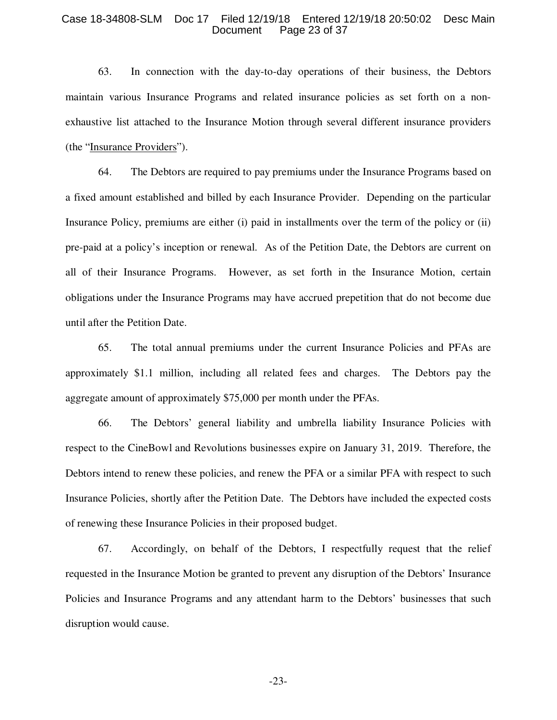#### Case 18-34808-SLM Doc 17 Filed 12/19/18 Entered 12/19/18 20:50:02 Desc Main Page 23 of 37

63. In connection with the day-to-day operations of their business, the Debtors maintain various Insurance Programs and related insurance policies as set forth on a nonexhaustive list attached to the Insurance Motion through several different insurance providers (the "Insurance Providers").

64. The Debtors are required to pay premiums under the Insurance Programs based on a fixed amount established and billed by each Insurance Provider. Depending on the particular Insurance Policy, premiums are either (i) paid in installments over the term of the policy or (ii) pre-paid at a policy's inception or renewal. As of the Petition Date, the Debtors are current on all of their Insurance Programs. However, as set forth in the Insurance Motion, certain obligations under the Insurance Programs may have accrued prepetition that do not become due until after the Petition Date.

65. The total annual premiums under the current Insurance Policies and PFAs are approximately \$1.1 million, including all related fees and charges. The Debtors pay the aggregate amount of approximately \$75,000 per month under the PFAs.

66. The Debtors' general liability and umbrella liability Insurance Policies with respect to the CineBowl and Revolutions businesses expire on January 31, 2019. Therefore, the Debtors intend to renew these policies, and renew the PFA or a similar PFA with respect to such Insurance Policies, shortly after the Petition Date. The Debtors have included the expected costs of renewing these Insurance Policies in their proposed budget.

67. Accordingly, on behalf of the Debtors, I respectfully request that the relief requested in the Insurance Motion be granted to prevent any disruption of the Debtors' Insurance Policies and Insurance Programs and any attendant harm to the Debtors' businesses that such disruption would cause.

-23-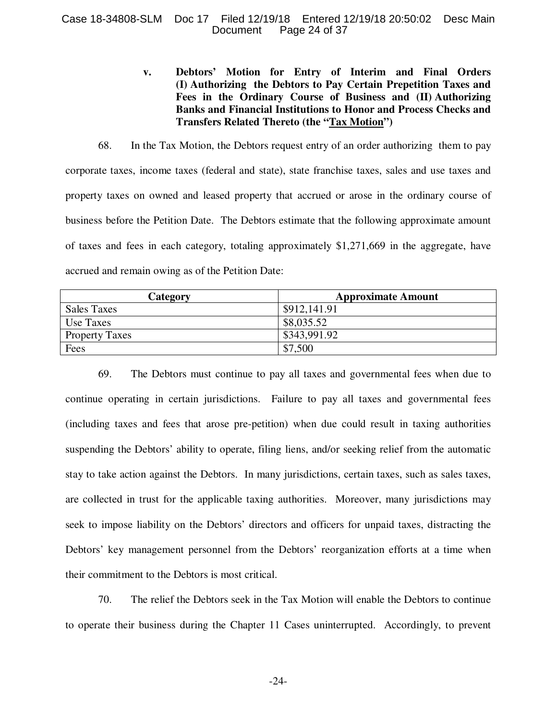## Case 18-34808-SLM Doc 17 Filed 12/19/18 Entered 12/19/18 20:50:02 Desc Main Page 24 of 37

# **v. Debtors' Motion for Entry of Interim and Final Orders (I) Authorizing the Debtors to Pay Certain Prepetition Taxes and Fees in the Ordinary Course of Business and (II) Authorizing Banks and Financial Institutions to Honor and Process Checks and Transfers Related Thereto (the "Tax Motion")**

68. In the Tax Motion, the Debtors request entry of an order authorizing them to pay corporate taxes, income taxes (federal and state), state franchise taxes, sales and use taxes and property taxes on owned and leased property that accrued or arose in the ordinary course of business before the Petition Date. The Debtors estimate that the following approximate amount of taxes and fees in each category, totaling approximately \$1,271,669 in the aggregate, have accrued and remain owing as of the Petition Date:

| Category              | <b>Approximate Amount</b> |
|-----------------------|---------------------------|
| <b>Sales Taxes</b>    | \$912,141.91              |
| Use Taxes             | \$8,035.52                |
| <b>Property Taxes</b> | \$343,991.92              |
| Fees                  | \$7,500                   |

69. The Debtors must continue to pay all taxes and governmental fees when due to continue operating in certain jurisdictions. Failure to pay all taxes and governmental fees (including taxes and fees that arose pre-petition) when due could result in taxing authorities suspending the Debtors' ability to operate, filing liens, and/or seeking relief from the automatic stay to take action against the Debtors. In many jurisdictions, certain taxes, such as sales taxes, are collected in trust for the applicable taxing authorities. Moreover, many jurisdictions may seek to impose liability on the Debtors' directors and officers for unpaid taxes, distracting the Debtors' key management personnel from the Debtors' reorganization efforts at a time when their commitment to the Debtors is most critical.

70. The relief the Debtors seek in the Tax Motion will enable the Debtors to continue to operate their business during the Chapter 11 Cases uninterrupted. Accordingly, to prevent

-24-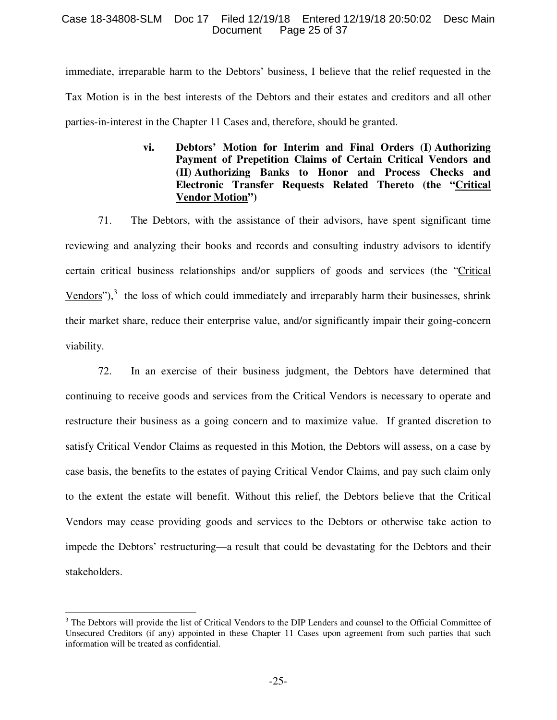## Case 18-34808-SLM Doc 17 Filed 12/19/18 Entered 12/19/18 20:50:02 Desc Main Page 25 of 37

immediate, irreparable harm to the Debtors' business, I believe that the relief requested in the Tax Motion is in the best interests of the Debtors and their estates and creditors and all other parties-in-interest in the Chapter 11 Cases and, therefore, should be granted.

> **vi. Debtors' Motion for Interim and Final Orders (I) Authorizing Payment of Prepetition Claims of Certain Critical Vendors and (II) Authorizing Banks to Honor and Process Checks and Electronic Transfer Requests Related Thereto (the "Critical Vendor Motion")**

71. The Debtors, with the assistance of their advisors, have spent significant time reviewing and analyzing their books and records and consulting industry advisors to identify certain critical business relationships and/or suppliers of goods and services (the "Critical Vendors"), $3$  the loss of which could immediately and irreparably harm their businesses, shrink their market share, reduce their enterprise value, and/or significantly impair their going-concern viability.

72. In an exercise of their business judgment, the Debtors have determined that continuing to receive goods and services from the Critical Vendors is necessary to operate and restructure their business as a going concern and to maximize value. If granted discretion to satisfy Critical Vendor Claims as requested in this Motion, the Debtors will assess, on a case by case basis, the benefits to the estates of paying Critical Vendor Claims, and pay such claim only to the extent the estate will benefit. Without this relief, the Debtors believe that the Critical Vendors may cease providing goods and services to the Debtors or otherwise take action to impede the Debtors' restructuring—a result that could be devastating for the Debtors and their stakeholders.

 $\overline{a}$ 

<sup>&</sup>lt;sup>3</sup> The Debtors will provide the list of Critical Vendors to the DIP Lenders and counsel to the Official Committee of Unsecured Creditors (if any) appointed in these Chapter 11 Cases upon agreement from such parties that such information will be treated as confidential.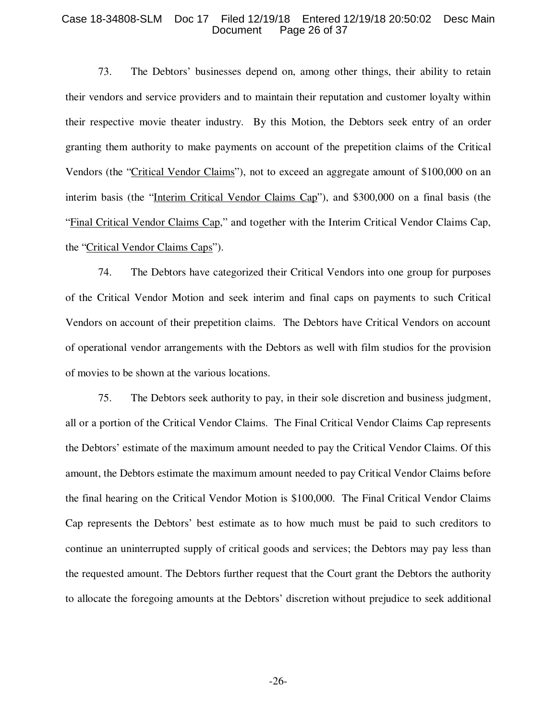#### Case 18-34808-SLM Doc 17 Filed 12/19/18 Entered 12/19/18 20:50:02 Desc Main Page 26 of 37

73. The Debtors' businesses depend on, among other things, their ability to retain their vendors and service providers and to maintain their reputation and customer loyalty within their respective movie theater industry. By this Motion, the Debtors seek entry of an order granting them authority to make payments on account of the prepetition claims of the Critical Vendors (the "Critical Vendor Claims"), not to exceed an aggregate amount of \$100,000 on an interim basis (the "Interim Critical Vendor Claims Cap"), and \$300,000 on a final basis (the "Final Critical Vendor Claims Cap," and together with the Interim Critical Vendor Claims Cap, the "Critical Vendor Claims Caps").

74. The Debtors have categorized their Critical Vendors into one group for purposes of the Critical Vendor Motion and seek interim and final caps on payments to such Critical Vendors on account of their prepetition claims. The Debtors have Critical Vendors on account of operational vendor arrangements with the Debtors as well with film studios for the provision of movies to be shown at the various locations.

75. The Debtors seek authority to pay, in their sole discretion and business judgment, all or a portion of the Critical Vendor Claims. The Final Critical Vendor Claims Cap represents the Debtors' estimate of the maximum amount needed to pay the Critical Vendor Claims. Of this amount, the Debtors estimate the maximum amount needed to pay Critical Vendor Claims before the final hearing on the Critical Vendor Motion is \$100,000. The Final Critical Vendor Claims Cap represents the Debtors' best estimate as to how much must be paid to such creditors to continue an uninterrupted supply of critical goods and services; the Debtors may pay less than the requested amount. The Debtors further request that the Court grant the Debtors the authority to allocate the foregoing amounts at the Debtors' discretion without prejudice to seek additional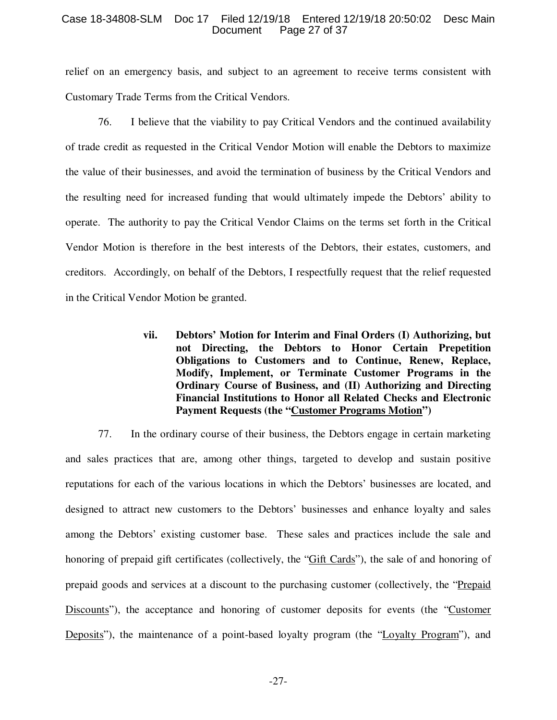### Case 18-34808-SLM Doc 17 Filed 12/19/18 Entered 12/19/18 20:50:02 Desc Main Page 27 of 37

relief on an emergency basis, and subject to an agreement to receive terms consistent with Customary Trade Terms from the Critical Vendors.

76. I believe that the viability to pay Critical Vendors and the continued availability of trade credit as requested in the Critical Vendor Motion will enable the Debtors to maximize the value of their businesses, and avoid the termination of business by the Critical Vendors and the resulting need for increased funding that would ultimately impede the Debtors' ability to operate. The authority to pay the Critical Vendor Claims on the terms set forth in the Critical Vendor Motion is therefore in the best interests of the Debtors, their estates, customers, and creditors. Accordingly, on behalf of the Debtors, I respectfully request that the relief requested in the Critical Vendor Motion be granted.

> **vii. Debtors' Motion for Interim and Final Orders (I) Authorizing, but not Directing, the Debtors to Honor Certain Prepetition Obligations to Customers and to Continue, Renew, Replace, Modify, Implement, or Terminate Customer Programs in the Ordinary Course of Business, and (II) Authorizing and Directing Financial Institutions to Honor all Related Checks and Electronic Payment Requests (the "Customer Programs Motion")**

77. In the ordinary course of their business, the Debtors engage in certain marketing and sales practices that are, among other things, targeted to develop and sustain positive reputations for each of the various locations in which the Debtors' businesses are located, and designed to attract new customers to the Debtors' businesses and enhance loyalty and sales among the Debtors' existing customer base. These sales and practices include the sale and honoring of prepaid gift certificates (collectively, the "Gift Cards"), the sale of and honoring of prepaid goods and services at a discount to the purchasing customer (collectively, the "Prepaid Discounts"), the acceptance and honoring of customer deposits for events (the "Customer Deposits"), the maintenance of a point-based loyalty program (the "Loyalty Program"), and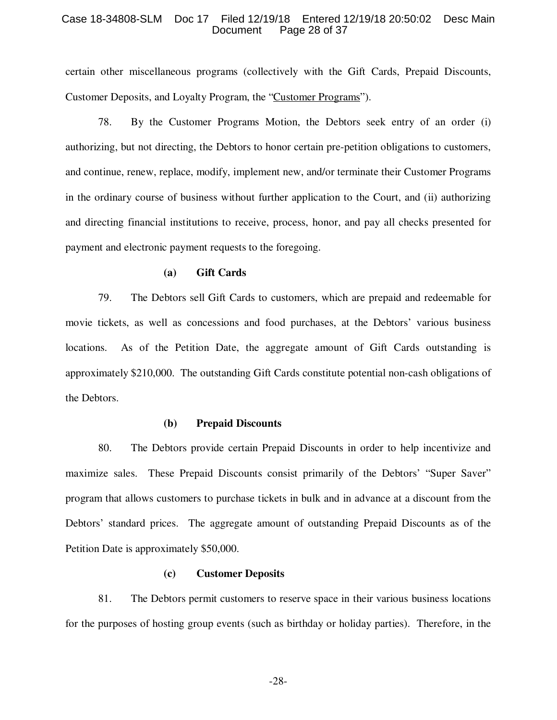#### Case 18-34808-SLM Doc 17 Filed 12/19/18 Entered 12/19/18 20:50:02 Desc Main Page 28 of 37

certain other miscellaneous programs (collectively with the Gift Cards, Prepaid Discounts, Customer Deposits, and Loyalty Program, the "Customer Programs").

78. By the Customer Programs Motion, the Debtors seek entry of an order (i) authorizing, but not directing, the Debtors to honor certain pre-petition obligations to customers, and continue, renew, replace, modify, implement new, and/or terminate their Customer Programs in the ordinary course of business without further application to the Court, and (ii) authorizing and directing financial institutions to receive, process, honor, and pay all checks presented for payment and electronic payment requests to the foregoing.

#### **(a) Gift Cards**

79. The Debtors sell Gift Cards to customers, which are prepaid and redeemable for movie tickets, as well as concessions and food purchases, at the Debtors' various business locations. As of the Petition Date, the aggregate amount of Gift Cards outstanding is approximately \$210,000. The outstanding Gift Cards constitute potential non-cash obligations of the Debtors.

#### **(b) Prepaid Discounts**

80. The Debtors provide certain Prepaid Discounts in order to help incentivize and maximize sales. These Prepaid Discounts consist primarily of the Debtors' "Super Saver" program that allows customers to purchase tickets in bulk and in advance at a discount from the Debtors' standard prices. The aggregate amount of outstanding Prepaid Discounts as of the Petition Date is approximately \$50,000.

#### **(c) Customer Deposits**

81. The Debtors permit customers to reserve space in their various business locations for the purposes of hosting group events (such as birthday or holiday parties). Therefore, in the

-28-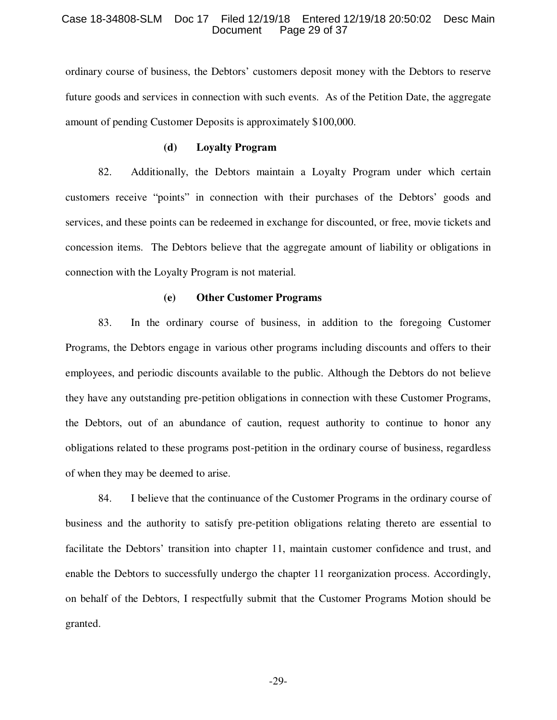#### Case 18-34808-SLM Doc 17 Filed 12/19/18 Entered 12/19/18 20:50:02 Desc Main Page 29 of 37

ordinary course of business, the Debtors' customers deposit money with the Debtors to reserve future goods and services in connection with such events. As of the Petition Date, the aggregate amount of pending Customer Deposits is approximately \$100,000.

#### **(d) Loyalty Program**

82. Additionally, the Debtors maintain a Loyalty Program under which certain customers receive "points" in connection with their purchases of the Debtors' goods and services, and these points can be redeemed in exchange for discounted, or free, movie tickets and concession items. The Debtors believe that the aggregate amount of liability or obligations in connection with the Loyalty Program is not material.

## **(e) Other Customer Programs**

83. In the ordinary course of business, in addition to the foregoing Customer Programs, the Debtors engage in various other programs including discounts and offers to their employees, and periodic discounts available to the public. Although the Debtors do not believe they have any outstanding pre-petition obligations in connection with these Customer Programs, the Debtors, out of an abundance of caution, request authority to continue to honor any obligations related to these programs post-petition in the ordinary course of business, regardless of when they may be deemed to arise.

84. I believe that the continuance of the Customer Programs in the ordinary course of business and the authority to satisfy pre-petition obligations relating thereto are essential to facilitate the Debtors' transition into chapter 11, maintain customer confidence and trust, and enable the Debtors to successfully undergo the chapter 11 reorganization process. Accordingly, on behalf of the Debtors, I respectfully submit that the Customer Programs Motion should be granted.

-29-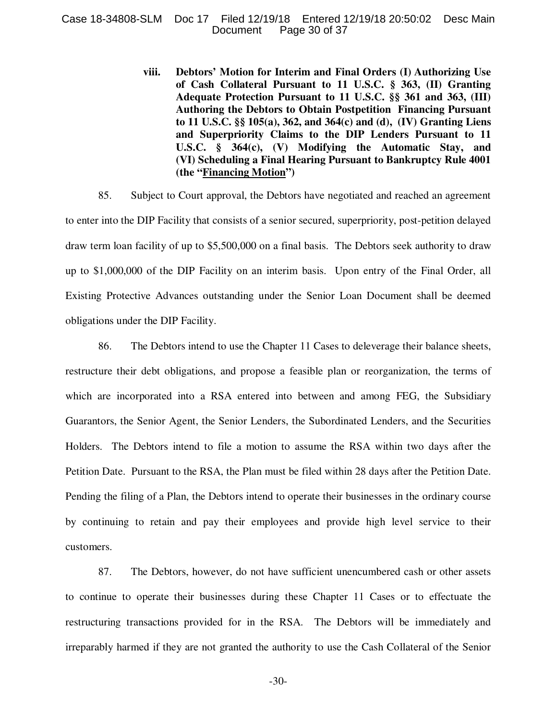#### Case 18-34808-SLM Doc 17 Filed 12/19/18 Entered 12/19/18 20:50:02 Desc Main Page 30 of 37

**viii. Debtors' Motion for Interim and Final Orders (I) Authorizing Use of Cash Collateral Pursuant to 11 U.S.C. § 363, (II) Granting Adequate Protection Pursuant to 11 U.S.C. §§ 361 and 363, (III) Authoring the Debtors to Obtain Postpetition Financing Pursuant to 11 U.S.C. §§ 105(a), 362, and 364(c) and (d), (IV) Granting Liens and Superpriority Claims to the DIP Lenders Pursuant to 11 U.S.C. § 364(c), (V) Modifying the Automatic Stay, and (VI) Scheduling a Final Hearing Pursuant to Bankruptcy Rule 4001 (the "Financing Motion")** 

85. Subject to Court approval, the Debtors have negotiated and reached an agreement to enter into the DIP Facility that consists of a senior secured, superpriority, post-petition delayed draw term loan facility of up to \$5,500,000 on a final basis. The Debtors seek authority to draw up to \$1,000,000 of the DIP Facility on an interim basis. Upon entry of the Final Order, all Existing Protective Advances outstanding under the Senior Loan Document shall be deemed obligations under the DIP Facility.

86. The Debtors intend to use the Chapter 11 Cases to deleverage their balance sheets, restructure their debt obligations, and propose a feasible plan or reorganization, the terms of which are incorporated into a RSA entered into between and among FEG, the Subsidiary Guarantors, the Senior Agent, the Senior Lenders, the Subordinated Lenders, and the Securities Holders. The Debtors intend to file a motion to assume the RSA within two days after the Petition Date. Pursuant to the RSA, the Plan must be filed within 28 days after the Petition Date. Pending the filing of a Plan, the Debtors intend to operate their businesses in the ordinary course by continuing to retain and pay their employees and provide high level service to their customers.

87. The Debtors, however, do not have sufficient unencumbered cash or other assets to continue to operate their businesses during these Chapter 11 Cases or to effectuate the restructuring transactions provided for in the RSA. The Debtors will be immediately and irreparably harmed if they are not granted the authority to use the Cash Collateral of the Senior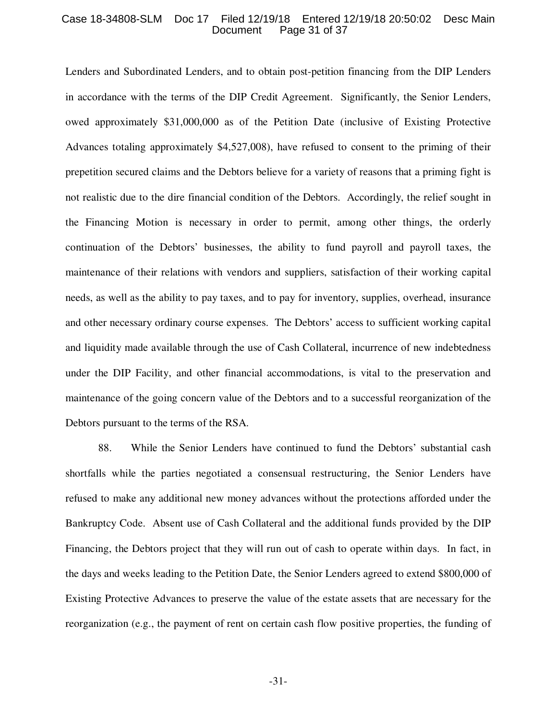#### Case 18-34808-SLM Doc 17 Filed 12/19/18 Entered 12/19/18 20:50:02 Desc Main Page 31 of 37

Lenders and Subordinated Lenders, and to obtain post-petition financing from the DIP Lenders in accordance with the terms of the DIP Credit Agreement. Significantly, the Senior Lenders, owed approximately \$31,000,000 as of the Petition Date (inclusive of Existing Protective Advances totaling approximately \$4,527,008), have refused to consent to the priming of their prepetition secured claims and the Debtors believe for a variety of reasons that a priming fight is not realistic due to the dire financial condition of the Debtors. Accordingly, the relief sought in the Financing Motion is necessary in order to permit, among other things, the orderly continuation of the Debtors' businesses, the ability to fund payroll and payroll taxes, the maintenance of their relations with vendors and suppliers, satisfaction of their working capital needs, as well as the ability to pay taxes, and to pay for inventory, supplies, overhead, insurance and other necessary ordinary course expenses. The Debtors' access to sufficient working capital and liquidity made available through the use of Cash Collateral, incurrence of new indebtedness under the DIP Facility, and other financial accommodations, is vital to the preservation and maintenance of the going concern value of the Debtors and to a successful reorganization of the Debtors pursuant to the terms of the RSA.

88. While the Senior Lenders have continued to fund the Debtors' substantial cash shortfalls while the parties negotiated a consensual restructuring, the Senior Lenders have refused to make any additional new money advances without the protections afforded under the Bankruptcy Code. Absent use of Cash Collateral and the additional funds provided by the DIP Financing, the Debtors project that they will run out of cash to operate within days. In fact, in the days and weeks leading to the Petition Date, the Senior Lenders agreed to extend \$800,000 of Existing Protective Advances to preserve the value of the estate assets that are necessary for the reorganization (e.g., the payment of rent on certain cash flow positive properties, the funding of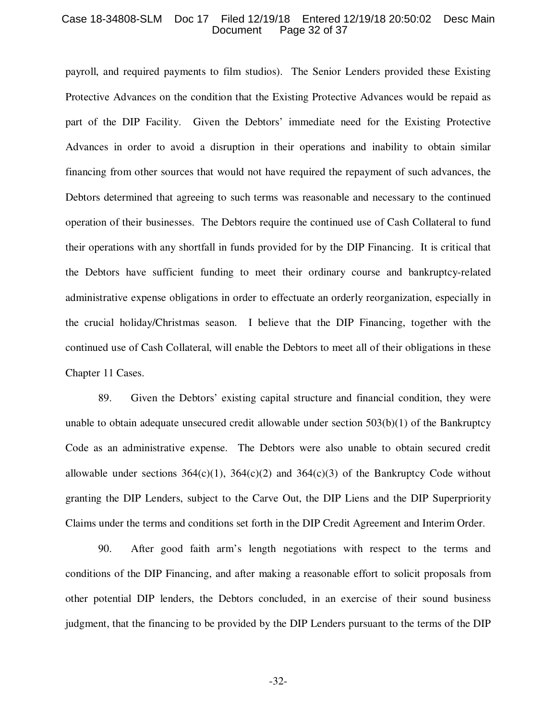#### Case 18-34808-SLM Doc 17 Filed 12/19/18 Entered 12/19/18 20:50:02 Desc Main Page 32 of 37

payroll, and required payments to film studios). The Senior Lenders provided these Existing Protective Advances on the condition that the Existing Protective Advances would be repaid as part of the DIP Facility. Given the Debtors' immediate need for the Existing Protective Advances in order to avoid a disruption in their operations and inability to obtain similar financing from other sources that would not have required the repayment of such advances, the Debtors determined that agreeing to such terms was reasonable and necessary to the continued operation of their businesses. The Debtors require the continued use of Cash Collateral to fund their operations with any shortfall in funds provided for by the DIP Financing. It is critical that the Debtors have sufficient funding to meet their ordinary course and bankruptcy-related administrative expense obligations in order to effectuate an orderly reorganization, especially in the crucial holiday/Christmas season. I believe that the DIP Financing, together with the continued use of Cash Collateral, will enable the Debtors to meet all of their obligations in these Chapter 11 Cases.

89. Given the Debtors' existing capital structure and financial condition, they were unable to obtain adequate unsecured credit allowable under section  $503(b)(1)$  of the Bankruptcy Code as an administrative expense. The Debtors were also unable to obtain secured credit allowable under sections  $364(c)(1)$ ,  $364(c)(2)$  and  $364(c)(3)$  of the Bankruptcy Code without granting the DIP Lenders, subject to the Carve Out, the DIP Liens and the DIP Superpriority Claims under the terms and conditions set forth in the DIP Credit Agreement and Interim Order.

90. After good faith arm's length negotiations with respect to the terms and conditions of the DIP Financing, and after making a reasonable effort to solicit proposals from other potential DIP lenders, the Debtors concluded, in an exercise of their sound business judgment, that the financing to be provided by the DIP Lenders pursuant to the terms of the DIP

-32-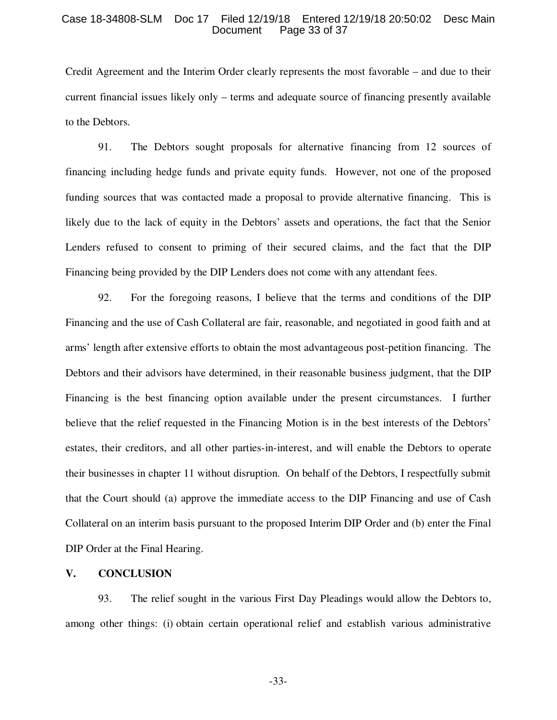#### Case 18-34808-SLM Doc 17 Filed 12/19/18 Entered 12/19/18 20:50:02 Desc Main Page 33 of 37

Credit Agreement and the Interim Order clearly represents the most favorable – and due to their current financial issues likely only – terms and adequate source of financing presently available to the Debtors.

91. The Debtors sought proposals for alternative financing from 12 sources of financing including hedge funds and private equity funds. However, not one of the proposed funding sources that was contacted made a proposal to provide alternative financing. This is likely due to the lack of equity in the Debtors' assets and operations, the fact that the Senior Lenders refused to consent to priming of their secured claims, and the fact that the DIP Financing being provided by the DIP Lenders does not come with any attendant fees.

92. For the foregoing reasons, I believe that the terms and conditions of the DIP Financing and the use of Cash Collateral are fair, reasonable, and negotiated in good faith and at arms' length after extensive efforts to obtain the most advantageous post-petition financing. The Debtors and their advisors have determined, in their reasonable business judgment, that the DIP Financing is the best financing option available under the present circumstances. I further believe that the relief requested in the Financing Motion is in the best interests of the Debtors' estates, their creditors, and all other parties-in-interest, and will enable the Debtors to operate their businesses in chapter 11 without disruption. On behalf of the Debtors, I respectfully submit that the Court should (a) approve the immediate access to the DIP Financing and use of Cash Collateral on an interim basis pursuant to the proposed Interim DIP Order and (b) enter the Final DIP Order at the Final Hearing.

#### **V. CONCLUSION**

93. The relief sought in the various First Day Pleadings would allow the Debtors to, among other things: (i) obtain certain operational relief and establish various administrative

-33-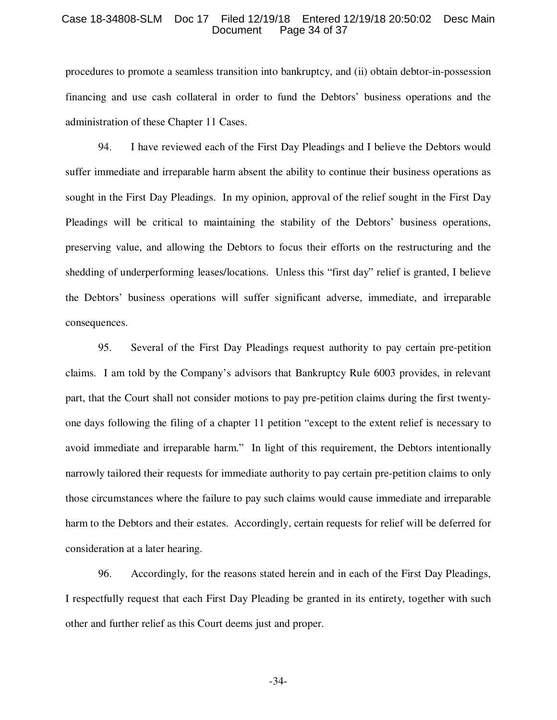#### Case 18-34808-SLM Doc 17 Filed 12/19/18 Entered 12/19/18 20:50:02 Desc Main Page 34 of 37

procedures to promote a seamless transition into bankruptcy, and (ii) obtain debtor-in-possession financing and use cash collateral in order to fund the Debtors' business operations and the administration of these Chapter 11 Cases.

94. I have reviewed each of the First Day Pleadings and I believe the Debtors would suffer immediate and irreparable harm absent the ability to continue their business operations as sought in the First Day Pleadings. In my opinion, approval of the relief sought in the First Day Pleadings will be critical to maintaining the stability of the Debtors' business operations, preserving value, and allowing the Debtors to focus their efforts on the restructuring and the shedding of underperforming leases/locations. Unless this "first day" relief is granted, I believe the Debtors' business operations will suffer significant adverse, immediate, and irreparable consequences.

95. Several of the First Day Pleadings request authority to pay certain pre-petition claims. I am told by the Company's advisors that Bankruptcy Rule 6003 provides, in relevant part, that the Court shall not consider motions to pay pre-petition claims during the first twentyone days following the filing of a chapter 11 petition "except to the extent relief is necessary to avoid immediate and irreparable harm." In light of this requirement, the Debtors intentionally narrowly tailored their requests for immediate authority to pay certain pre-petition claims to only those circumstances where the failure to pay such claims would cause immediate and irreparable harm to the Debtors and their estates. Accordingly, certain requests for relief will be deferred for consideration at a later hearing.

96. Accordingly, for the reasons stated herein and in each of the First Day Pleadings, I respectfully request that each First Day Pleading be granted in its entirety, together with such other and further relief as this Court deems just and proper.

-34-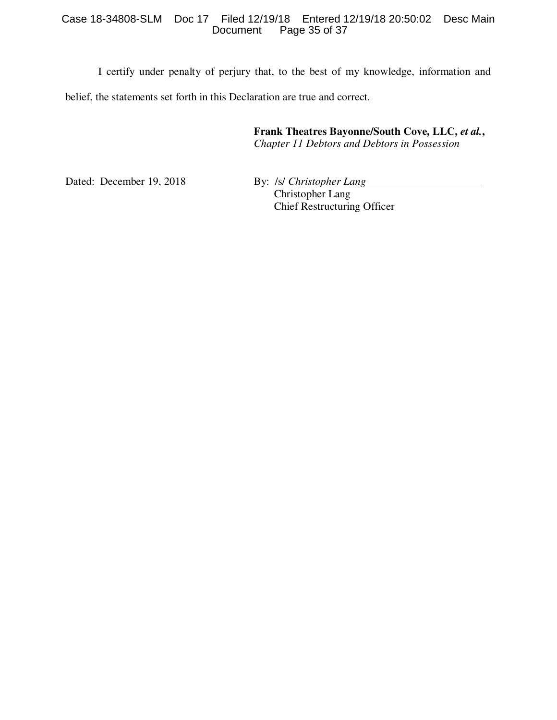# Case 18-34808-SLM Doc 17 Filed 12/19/18 Entered 12/19/18 20:50:02 Desc Main Page 35 of 37

I certify under penalty of perjury that, to the best of my knowledge, information and belief, the statements set forth in this Declaration are true and correct.

> **Frank Theatres Bayonne/South Cove, LLC,** *et al.***,**  *Chapter 11 Debtors and Debtors in Possession*

Dated: December 19, 2018 By: *Isl Christopher Lang* 

Christopher Lang Chief Restructuring Officer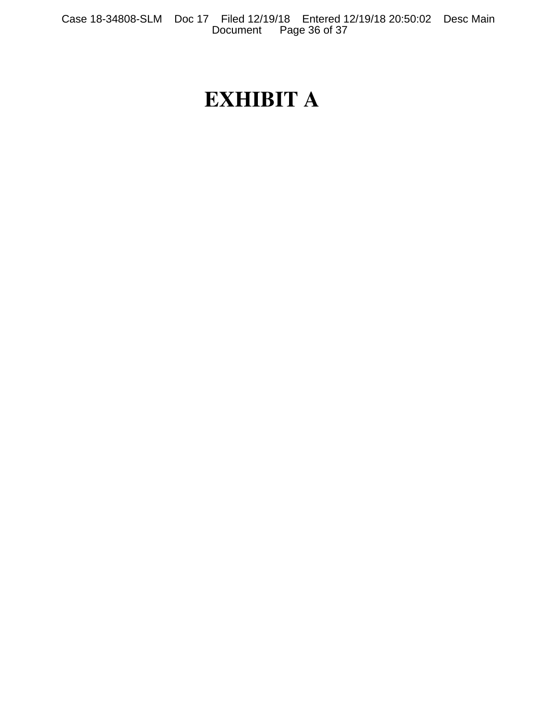# **EXHIBIT A**